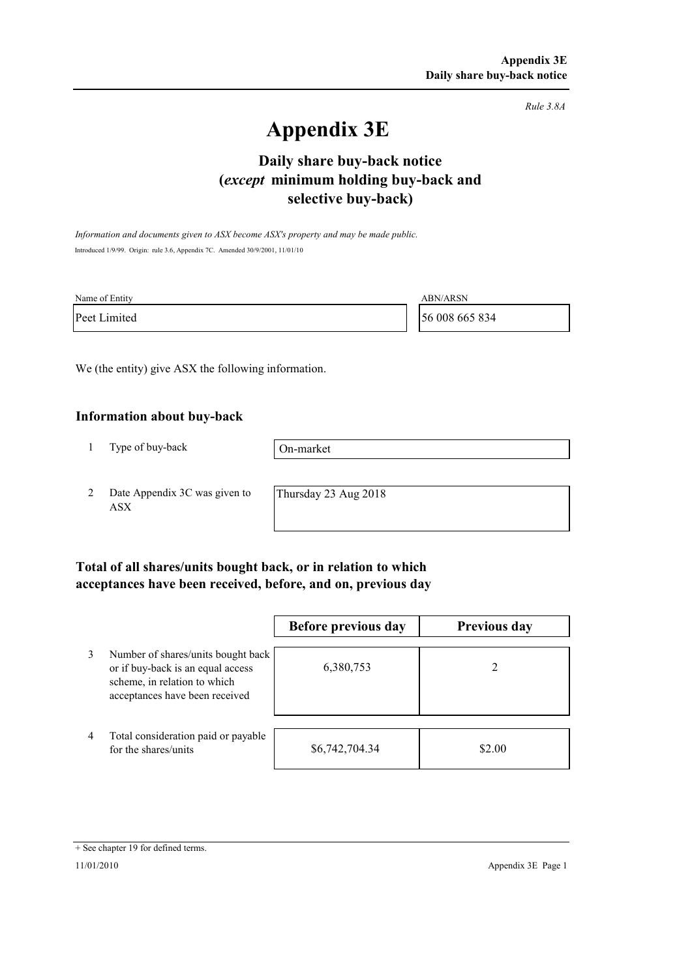*Rule 3.8A*

# **Appendix 3E**

# **selective buy-back) Daily share buy-back notice (***except* **minimum holding buy-back and**

*Information and documents given to ASX become ASX's property and may be made public.* Introduced 1/9/99. Origin: rule 3.6, Appendix 7C. Amended 30/9/2001, 11/01/10

| Name of Entity | <b>ABN/ARSN</b> |
|----------------|-----------------|
| Peet Limited   | 56 008 665 834  |

We (the entity) give ASX the following information.

#### **Information about buy-back**

1 Type of buy-back

On-market

2 Date Appendix 3C was given to ASX

Thursday 23 Aug 2018

### **Total of all shares/units bought back, or in relation to which acceptances have been received, before, and on, previous day**

|                |                                                                                                                                           | Before previous day | <b>Previous day</b> |
|----------------|-------------------------------------------------------------------------------------------------------------------------------------------|---------------------|---------------------|
| 3              | Number of shares/units bought back<br>or if buy-back is an equal access<br>scheme, in relation to which<br>acceptances have been received | 6,380,753           |                     |
| $\overline{4}$ | Total consideration paid or payable<br>for the shares/units                                                                               | \$6,742,704.34      | \$2.00              |

<sup>+</sup> See chapter 19 for defined terms.